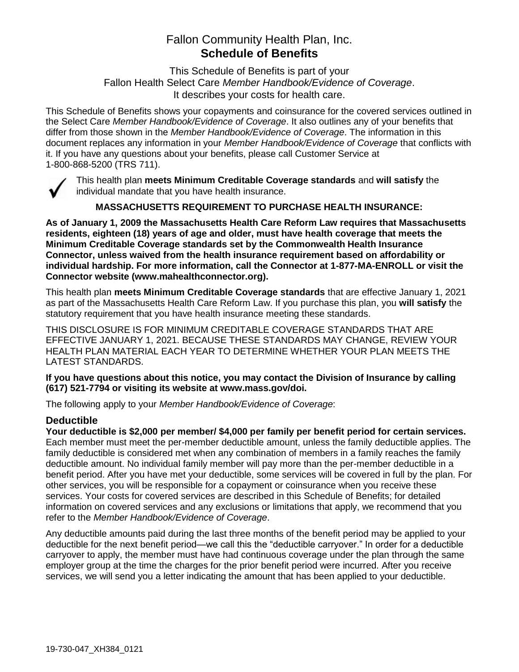# Fallon Community Health Plan, Inc. **Schedule of Benefits**

This Schedule of Benefits is part of your Fallon Health Select Care *Member Handbook/Evidence of Coverage*. It describes your costs for health care.

This Schedule of Benefits shows your copayments and coinsurance for the covered services outlined in the Select Care *Member Handbook/Evidence of Coverage*. It also outlines any of your benefits that differ from those shown in the *Member Handbook/Evidence of Coverage*. The information in this document replaces any information in your *Member Handbook/Evidence of Coverage* that conflicts with it. If you have any questions about your benefits, please call Customer Service at 1-800-868-5200 (TRS 711).



This health plan **meets Minimum Creditable Coverage standards** and **will satisfy** the individual mandate that you have health insurance.

**MASSACHUSETTS REQUIREMENT TO PURCHASE HEALTH INSURANCE:**

**As of January 1, 2009 the Massachusetts Health Care Reform Law requires that Massachusetts residents, eighteen (18) years of age and older, must have health coverage that meets the Minimum Creditable Coverage standards set by the Commonwealth Health Insurance Connector, unless waived from the health insurance requirement based on affordability or individual hardship. For more information, call the Connector at 1-877-MA-ENROLL or visit the Connector website (www.mahealthconnector.org).**

This health plan **meets Minimum Creditable Coverage standards** that are effective January 1, 2021 as part of the Massachusetts Health Care Reform Law. If you purchase this plan, you **will satisfy** the statutory requirement that you have health insurance meeting these standards.

THIS DISCLOSURE IS FOR MINIMUM CREDITABLE COVERAGE STANDARDS THAT ARE EFFECTIVE JANUARY 1, 2021. BECAUSE THESE STANDARDS MAY CHANGE, REVIEW YOUR HEALTH PLAN MATERIAL EACH YEAR TO DETERMINE WHETHER YOUR PLAN MEETS THE LATEST STANDARDS.

**If you have questions about this notice, you may contact the Division of Insurance by calling (617) 521-7794 or visiting its website at www.mass.gov/doi.** 

The following apply to your *Member Handbook/Evidence of Coverage*:

## **Deductible**

**Your deductible is \$2,000 per member/ \$4,000 per family per benefit period for certain services.** Each member must meet the per-member deductible amount, unless the family deductible applies. The family deductible is considered met when any combination of members in a family reaches the family deductible amount. No individual family member will pay more than the per-member deductible in a benefit period. After you have met your deductible, some services will be covered in full by the plan. For other services, you will be responsible for a copayment or coinsurance when you receive these services. Your costs for covered services are described in this Schedule of Benefits; for detailed information on covered services and any exclusions or limitations that apply, we recommend that you refer to the *Member Handbook/Evidence of Coverage*.

Any deductible amounts paid during the last three months of the benefit period may be applied to your deductible for the next benefit period—we call this the "deductible carryover." In order for a deductible carryover to apply, the member must have had continuous coverage under the plan through the same employer group at the time the charges for the prior benefit period were incurred. After you receive services, we will send you a letter indicating the amount that has been applied to your deductible.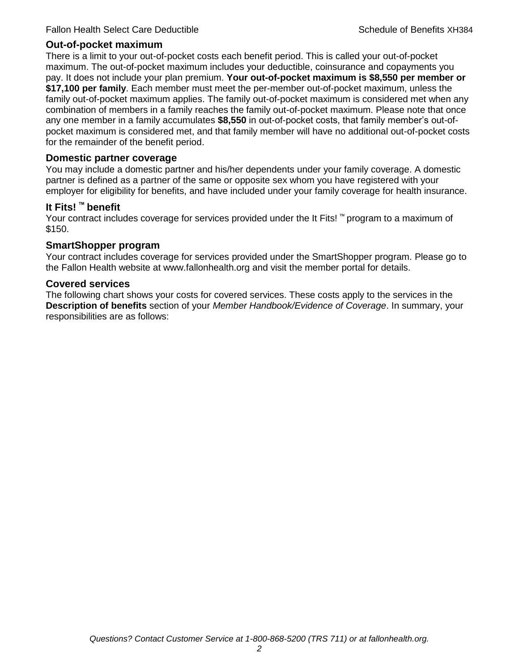#### **Out-of-pocket maximum**

There is a limit to your out-of-pocket costs each benefit period. This is called your out-of-pocket maximum. The out-of-pocket maximum includes your deductible, coinsurance and copayments you pay. It does not include your plan premium. **Your out-of-pocket maximum is \$8,550 per member or \$17,100 per family**. Each member must meet the per-member out-of-pocket maximum, unless the family out-of-pocket maximum applies. The family out-of-pocket maximum is considered met when any combination of members in a family reaches the family out-of-pocket maximum. Please note that once any one member in a family accumulates **\$8,550** in out-of-pocket costs, that family member's out-ofpocket maximum is considered met, and that family member will have no additional out-of-pocket costs for the remainder of the benefit period.

#### **Domestic partner coverage**

You may include a domestic partner and his/her dependents under your family coverage. A domestic partner is defined as a partner of the same or opposite sex whom you have registered with your employer for eligibility for benefits, and have included under your family coverage for health insurance.

#### **It Fits! ™ benefit**

Your contract includes coverage for services provided under the It Fits! ™ program to a maximum of \$150.

#### **SmartShopper program**

Your contract includes coverage for services provided under the SmartShopper program. Please go to the Fallon Health website at www.fallonhealth.org and visit the member portal for details.

#### **Covered services**

The following chart shows your costs for covered services. These costs apply to the services in the **Description of benefits** section of your *Member Handbook/Evidence of Coverage*. In summary, your responsibilities are as follows: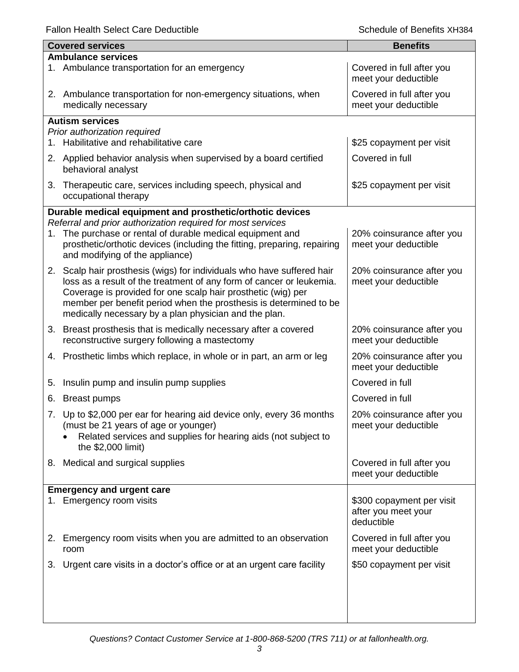|    | <b>Covered services</b>                                                                                                                                                | <b>Benefits</b>                                   |
|----|------------------------------------------------------------------------------------------------------------------------------------------------------------------------|---------------------------------------------------|
|    | <b>Ambulance services</b>                                                                                                                                              |                                                   |
|    | 1. Ambulance transportation for an emergency                                                                                                                           | Covered in full after you<br>meet your deductible |
|    | 2. Ambulance transportation for non-emergency situations, when<br>medically necessary                                                                                  | Covered in full after you<br>meet your deductible |
|    | <b>Autism services</b>                                                                                                                                                 |                                                   |
|    | Prior authorization required                                                                                                                                           |                                                   |
|    | 1. Habilitative and rehabilitative care                                                                                                                                | \$25 copayment per visit                          |
|    | 2. Applied behavior analysis when supervised by a board certified<br>behavioral analyst                                                                                | Covered in full                                   |
| 3. | Therapeutic care, services including speech, physical and<br>occupational therapy                                                                                      | \$25 copayment per visit                          |
|    | Durable medical equipment and prosthetic/orthotic devices                                                                                                              |                                                   |
|    | Referral and prior authorization required for most services                                                                                                            |                                                   |
| 1. | The purchase or rental of durable medical equipment and<br>prosthetic/orthotic devices (including the fitting, preparing, repairing<br>and modifying of the appliance) | 20% coinsurance after you<br>meet your deductible |
|    | 2. Scalp hair prosthesis (wigs) for individuals who have suffered hair                                                                                                 | 20% coinsurance after you                         |
|    | loss as a result of the treatment of any form of cancer or leukemia.                                                                                                   | meet your deductible                              |
|    | Coverage is provided for one scalp hair prosthetic (wig) per                                                                                                           |                                                   |
|    | member per benefit period when the prosthesis is determined to be                                                                                                      |                                                   |
|    | medically necessary by a plan physician and the plan.                                                                                                                  |                                                   |
| 3. | Breast prosthesis that is medically necessary after a covered                                                                                                          | 20% coinsurance after you                         |
|    | reconstructive surgery following a mastectomy                                                                                                                          | meet your deductible                              |
|    | 4. Prosthetic limbs which replace, in whole or in part, an arm or leg                                                                                                  | 20% coinsurance after you<br>meet your deductible |
| 5. | Insulin pump and insulin pump supplies                                                                                                                                 | Covered in full                                   |
| 6. | <b>Breast pumps</b>                                                                                                                                                    | Covered in full                                   |
|    | 7. Up to \$2,000 per ear for hearing aid device only, every 36 months                                                                                                  | 20% coinsurance after you                         |
|    | (must be 21 years of age or younger)                                                                                                                                   | meet your deductible                              |
|    | Related services and supplies for hearing aids (not subject to                                                                                                         |                                                   |
|    | the \$2,000 limit)                                                                                                                                                     |                                                   |
|    | 8. Medical and surgical supplies                                                                                                                                       | Covered in full after you                         |
|    |                                                                                                                                                                        | meet your deductible                              |
|    | <b>Emergency and urgent care</b>                                                                                                                                       |                                                   |
| 1. | Emergency room visits                                                                                                                                                  | \$300 copayment per visit                         |
|    |                                                                                                                                                                        | after you meet your                               |
|    |                                                                                                                                                                        | deductible                                        |
| 2. | Emergency room visits when you are admitted to an observation<br>room                                                                                                  | Covered in full after you<br>meet your deductible |
|    | 3. Urgent care visits in a doctor's office or at an urgent care facility                                                                                               | \$50 copayment per visit                          |
|    |                                                                                                                                                                        |                                                   |
|    |                                                                                                                                                                        |                                                   |
|    |                                                                                                                                                                        |                                                   |
|    |                                                                                                                                                                        |                                                   |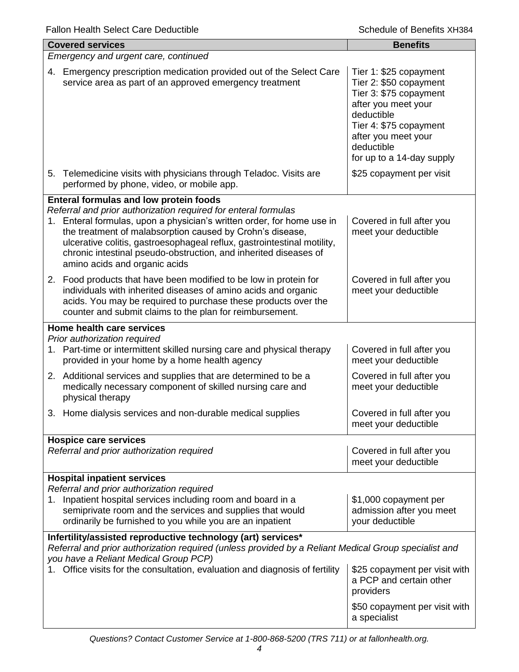| <b>Covered services</b>                                                                                                                                                                                                                                                                                                                                                                  | <b>Benefits</b>                                                                                                                                                                                             |  |  |
|------------------------------------------------------------------------------------------------------------------------------------------------------------------------------------------------------------------------------------------------------------------------------------------------------------------------------------------------------------------------------------------|-------------------------------------------------------------------------------------------------------------------------------------------------------------------------------------------------------------|--|--|
| Emergency and urgent care, continued                                                                                                                                                                                                                                                                                                                                                     |                                                                                                                                                                                                             |  |  |
| 4. Emergency prescription medication provided out of the Select Care<br>service area as part of an approved emergency treatment                                                                                                                                                                                                                                                          | Tier 1: \$25 copayment<br>Tier 2: \$50 copayment<br>Tier 3: \$75 copayment<br>after you meet your<br>deductible<br>Tier 4: \$75 copayment<br>after you meet your<br>deductible<br>for up to a 14-day supply |  |  |
| 5. Telemedicine visits with physicians through Teladoc. Visits are<br>performed by phone, video, or mobile app.                                                                                                                                                                                                                                                                          | \$25 copayment per visit                                                                                                                                                                                    |  |  |
| <b>Enteral formulas and low protein foods</b>                                                                                                                                                                                                                                                                                                                                            |                                                                                                                                                                                                             |  |  |
| Referral and prior authorization required for enteral formulas<br>Enteral formulas, upon a physician's written order, for home use in<br>1.<br>the treatment of malabsorption caused by Crohn's disease,<br>ulcerative colitis, gastroesophageal reflux, gastrointestinal motility,<br>chronic intestinal pseudo-obstruction, and inherited diseases of<br>amino acids and organic acids | Covered in full after you<br>meet your deductible                                                                                                                                                           |  |  |
| 2. Food products that have been modified to be low in protein for<br>individuals with inherited diseases of amino acids and organic<br>acids. You may be required to purchase these products over the<br>counter and submit claims to the plan for reimbursement.                                                                                                                        | Covered in full after you<br>meet your deductible                                                                                                                                                           |  |  |
| Home health care services                                                                                                                                                                                                                                                                                                                                                                |                                                                                                                                                                                                             |  |  |
| Prior authorization required<br>1. Part-time or intermittent skilled nursing care and physical therapy<br>provided in your home by a home health agency                                                                                                                                                                                                                                  | Covered in full after you<br>meet your deductible                                                                                                                                                           |  |  |
| 2. Additional services and supplies that are determined to be a<br>medically necessary component of skilled nursing care and<br>physical therapy                                                                                                                                                                                                                                         | Covered in full after you<br>meet your deductible                                                                                                                                                           |  |  |
| Home dialysis services and non-durable medical supplies<br>3.                                                                                                                                                                                                                                                                                                                            | Covered in full after you<br>meet your deductible                                                                                                                                                           |  |  |
| <b>Hospice care services</b>                                                                                                                                                                                                                                                                                                                                                             |                                                                                                                                                                                                             |  |  |
| Referral and prior authorization required                                                                                                                                                                                                                                                                                                                                                | Covered in full after you<br>meet your deductible                                                                                                                                                           |  |  |
| <b>Hospital inpatient services</b>                                                                                                                                                                                                                                                                                                                                                       |                                                                                                                                                                                                             |  |  |
| Referral and prior authorization required<br>1. Inpatient hospital services including room and board in a<br>semiprivate room and the services and supplies that would<br>ordinarily be furnished to you while you are an inpatient                                                                                                                                                      | \$1,000 copayment per<br>admission after you meet<br>your deductible                                                                                                                                        |  |  |
| Infertility/assisted reproductive technology (art) services*<br>Referral and prior authorization required (unless provided by a Reliant Medical Group specialist and<br>you have a Reliant Medical Group PCP)                                                                                                                                                                            |                                                                                                                                                                                                             |  |  |
| Office visits for the consultation, evaluation and diagnosis of fertility                                                                                                                                                                                                                                                                                                                | \$25 copayment per visit with<br>a PCP and certain other<br>providers                                                                                                                                       |  |  |
|                                                                                                                                                                                                                                                                                                                                                                                          | \$50 copayment per visit with<br>a specialist                                                                                                                                                               |  |  |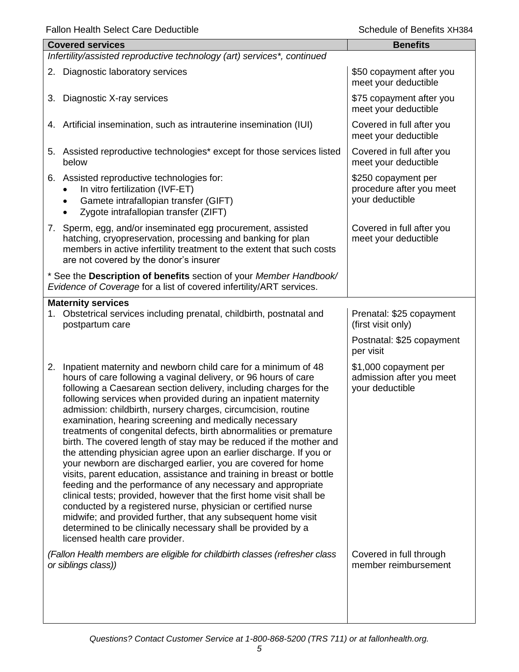| <b>Covered services</b>                                                                                                                                                                                                                                                                                                                                                                                                                                                                                                                                                                                                                                                                                                                                                                                                                                                                                                                                                                                                                                                                                                                           | <b>Benefits</b>                                                      |
|---------------------------------------------------------------------------------------------------------------------------------------------------------------------------------------------------------------------------------------------------------------------------------------------------------------------------------------------------------------------------------------------------------------------------------------------------------------------------------------------------------------------------------------------------------------------------------------------------------------------------------------------------------------------------------------------------------------------------------------------------------------------------------------------------------------------------------------------------------------------------------------------------------------------------------------------------------------------------------------------------------------------------------------------------------------------------------------------------------------------------------------------------|----------------------------------------------------------------------|
| Infertility/assisted reproductive technology (art) services*, continued                                                                                                                                                                                                                                                                                                                                                                                                                                                                                                                                                                                                                                                                                                                                                                                                                                                                                                                                                                                                                                                                           |                                                                      |
| 2. Diagnostic laboratory services                                                                                                                                                                                                                                                                                                                                                                                                                                                                                                                                                                                                                                                                                                                                                                                                                                                                                                                                                                                                                                                                                                                 | \$50 copayment after you<br>meet your deductible                     |
| Diagnostic X-ray services<br>3.                                                                                                                                                                                                                                                                                                                                                                                                                                                                                                                                                                                                                                                                                                                                                                                                                                                                                                                                                                                                                                                                                                                   | \$75 copayment after you<br>meet your deductible                     |
| 4. Artificial insemination, such as intrauterine insemination (IUI)                                                                                                                                                                                                                                                                                                                                                                                                                                                                                                                                                                                                                                                                                                                                                                                                                                                                                                                                                                                                                                                                               | Covered in full after you<br>meet your deductible                    |
| 5. Assisted reproductive technologies* except for those services listed<br>below                                                                                                                                                                                                                                                                                                                                                                                                                                                                                                                                                                                                                                                                                                                                                                                                                                                                                                                                                                                                                                                                  | Covered in full after you<br>meet your deductible                    |
| 6. Assisted reproductive technologies for:<br>In vitro fertilization (IVF-ET)<br>Gamete intrafallopian transfer (GIFT)<br>Zygote intrafallopian transfer (ZIFT)                                                                                                                                                                                                                                                                                                                                                                                                                                                                                                                                                                                                                                                                                                                                                                                                                                                                                                                                                                                   | \$250 copayment per<br>procedure after you meet<br>your deductible   |
| 7. Sperm, egg, and/or inseminated egg procurement, assisted<br>hatching, cryopreservation, processing and banking for plan<br>members in active infertility treatment to the extent that such costs<br>are not covered by the donor's insurer                                                                                                                                                                                                                                                                                                                                                                                                                                                                                                                                                                                                                                                                                                                                                                                                                                                                                                     | Covered in full after you<br>meet your deductible                    |
| * See the Description of benefits section of your Member Handbook/<br>Evidence of Coverage for a list of covered infertility/ART services.                                                                                                                                                                                                                                                                                                                                                                                                                                                                                                                                                                                                                                                                                                                                                                                                                                                                                                                                                                                                        |                                                                      |
| <b>Maternity services</b><br>1. Obstetrical services including prenatal, childbirth, postnatal and<br>postpartum care                                                                                                                                                                                                                                                                                                                                                                                                                                                                                                                                                                                                                                                                                                                                                                                                                                                                                                                                                                                                                             | Prenatal: \$25 copayment<br>(first visit only)                       |
|                                                                                                                                                                                                                                                                                                                                                                                                                                                                                                                                                                                                                                                                                                                                                                                                                                                                                                                                                                                                                                                                                                                                                   | Postnatal: \$25 copayment<br>per visit                               |
| 2.<br>Inpatient maternity and newborn child care for a minimum of 48<br>hours of care following a vaginal delivery, or 96 hours of care<br>following a Caesarean section delivery, including charges for the<br>following services when provided during an inpatient maternity<br>admission: childbirth, nursery charges, circumcision, routine<br>examination, hearing screening and medically necessary<br>treatments of congenital defects, birth abnormalities or premature<br>birth. The covered length of stay may be reduced if the mother and<br>the attending physician agree upon an earlier discharge. If you or<br>your newborn are discharged earlier, you are covered for home<br>visits, parent education, assistance and training in breast or bottle<br>feeding and the performance of any necessary and appropriate<br>clinical tests; provided, however that the first home visit shall be<br>conducted by a registered nurse, physician or certified nurse<br>midwife; and provided further, that any subsequent home visit<br>determined to be clinically necessary shall be provided by a<br>licensed health care provider. | \$1,000 copayment per<br>admission after you meet<br>your deductible |
| (Fallon Health members are eligible for childbirth classes (refresher class<br>or siblings class))                                                                                                                                                                                                                                                                                                                                                                                                                                                                                                                                                                                                                                                                                                                                                                                                                                                                                                                                                                                                                                                | Covered in full through<br>member reimbursement                      |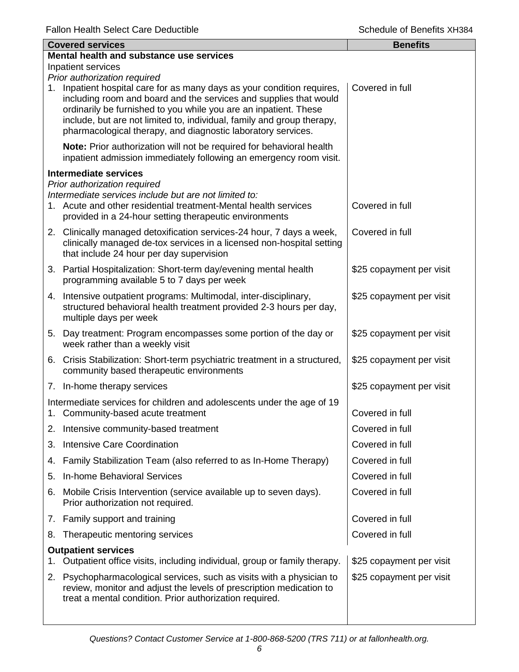|    | <b>Covered services</b>                                                                                                                                                                                                                                                                                                                                    | <b>Benefits</b>          |  |  |
|----|------------------------------------------------------------------------------------------------------------------------------------------------------------------------------------------------------------------------------------------------------------------------------------------------------------------------------------------------------------|--------------------------|--|--|
|    | Mental health and substance use services                                                                                                                                                                                                                                                                                                                   |                          |  |  |
|    | Inpatient services<br>Prior authorization required                                                                                                                                                                                                                                                                                                         |                          |  |  |
|    | 1. Inpatient hospital care for as many days as your condition requires,<br>including room and board and the services and supplies that would<br>ordinarily be furnished to you while you are an inpatient. These<br>include, but are not limited to, individual, family and group therapy,<br>pharmacological therapy, and diagnostic laboratory services. | Covered in full          |  |  |
|    | Note: Prior authorization will not be required for behavioral health<br>inpatient admission immediately following an emergency room visit.                                                                                                                                                                                                                 |                          |  |  |
|    | <b>Intermediate services</b>                                                                                                                                                                                                                                                                                                                               |                          |  |  |
|    | Prior authorization required<br>Intermediate services include but are not limited to:<br>1. Acute and other residential treatment-Mental health services<br>provided in a 24-hour setting therapeutic environments                                                                                                                                         | Covered in full          |  |  |
|    | 2. Clinically managed detoxification services-24 hour, 7 days a week,<br>clinically managed de-tox services in a licensed non-hospital setting<br>that include 24 hour per day supervision                                                                                                                                                                 | Covered in full          |  |  |
|    | 3. Partial Hospitalization: Short-term day/evening mental health<br>programming available 5 to 7 days per week                                                                                                                                                                                                                                             | \$25 copayment per visit |  |  |
|    | 4. Intensive outpatient programs: Multimodal, inter-disciplinary,<br>structured behavioral health treatment provided 2-3 hours per day,<br>multiple days per week                                                                                                                                                                                          | \$25 copayment per visit |  |  |
|    | 5. Day treatment: Program encompasses some portion of the day or<br>week rather than a weekly visit                                                                                                                                                                                                                                                        | \$25 copayment per visit |  |  |
|    | 6. Crisis Stabilization: Short-term psychiatric treatment in a structured,<br>community based therapeutic environments                                                                                                                                                                                                                                     | \$25 copayment per visit |  |  |
|    | 7. In-home therapy services                                                                                                                                                                                                                                                                                                                                | \$25 copayment per visit |  |  |
|    | Intermediate services for children and adolescents under the age of 19<br>1. Community-based acute treatment                                                                                                                                                                                                                                               | Covered in full          |  |  |
|    | 2. Intensive community-based treatment                                                                                                                                                                                                                                                                                                                     | Covered in full          |  |  |
| 3. | <b>Intensive Care Coordination</b>                                                                                                                                                                                                                                                                                                                         | Covered in full          |  |  |
| 4. | Family Stabilization Team (also referred to as In-Home Therapy)                                                                                                                                                                                                                                                                                            | Covered in full          |  |  |
| 5. | <b>In-home Behavioral Services</b>                                                                                                                                                                                                                                                                                                                         | Covered in full          |  |  |
| 6. | Mobile Crisis Intervention (service available up to seven days).<br>Prior authorization not required.                                                                                                                                                                                                                                                      | Covered in full          |  |  |
|    | 7. Family support and training                                                                                                                                                                                                                                                                                                                             | Covered in full          |  |  |
| 8. | Therapeutic mentoring services                                                                                                                                                                                                                                                                                                                             | Covered in full          |  |  |
| 1. | <b>Outpatient services</b><br>Outpatient office visits, including individual, group or family therapy.                                                                                                                                                                                                                                                     | \$25 copayment per visit |  |  |
| 2. | Psychopharmacological services, such as visits with a physician to<br>review, monitor and adjust the levels of prescription medication to<br>treat a mental condition. Prior authorization required.                                                                                                                                                       | \$25 copayment per visit |  |  |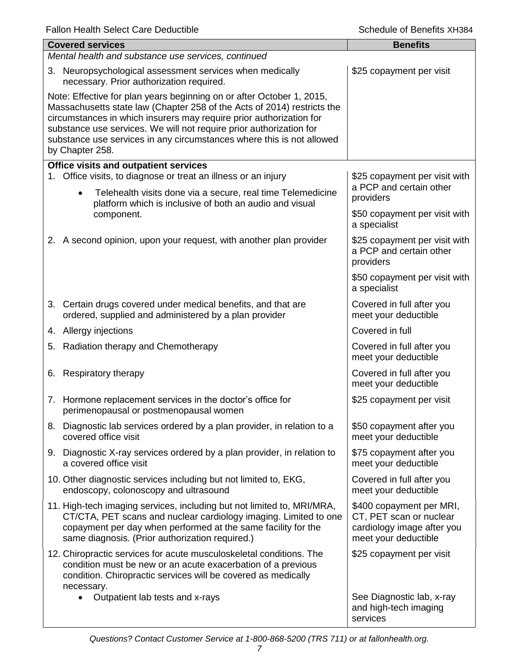|    | <b>Covered services</b>                                                                                                                                                                                                                                                                                                                                                                    | <b>Benefits</b>                                                                                           |  |  |
|----|--------------------------------------------------------------------------------------------------------------------------------------------------------------------------------------------------------------------------------------------------------------------------------------------------------------------------------------------------------------------------------------------|-----------------------------------------------------------------------------------------------------------|--|--|
|    | Mental health and substance use services, continued                                                                                                                                                                                                                                                                                                                                        |                                                                                                           |  |  |
|    | 3. Neuropsychological assessment services when medically<br>necessary. Prior authorization required.                                                                                                                                                                                                                                                                                       | \$25 copayment per visit                                                                                  |  |  |
|    | Note: Effective for plan years beginning on or after October 1, 2015,<br>Massachusetts state law (Chapter 258 of the Acts of 2014) restricts the<br>circumstances in which insurers may require prior authorization for<br>substance use services. We will not require prior authorization for<br>substance use services in any circumstances where this is not allowed<br>by Chapter 258. |                                                                                                           |  |  |
|    | <b>Office visits and outpatient services</b>                                                                                                                                                                                                                                                                                                                                               |                                                                                                           |  |  |
|    | 1. Office visits, to diagnose or treat an illness or an injury<br>Telehealth visits done via a secure, real time Telemedicine<br>$\bullet$                                                                                                                                                                                                                                                 | \$25 copayment per visit with<br>a PCP and certain other<br>providers                                     |  |  |
|    | platform which is inclusive of both an audio and visual<br>component.                                                                                                                                                                                                                                                                                                                      | \$50 copayment per visit with<br>a specialist                                                             |  |  |
|    | 2. A second opinion, upon your request, with another plan provider                                                                                                                                                                                                                                                                                                                         | \$25 copayment per visit with<br>a PCP and certain other<br>providers                                     |  |  |
|    |                                                                                                                                                                                                                                                                                                                                                                                            | \$50 copayment per visit with<br>a specialist                                                             |  |  |
|    | 3. Certain drugs covered under medical benefits, and that are<br>ordered, supplied and administered by a plan provider                                                                                                                                                                                                                                                                     | Covered in full after you<br>meet your deductible                                                         |  |  |
|    | 4. Allergy injections                                                                                                                                                                                                                                                                                                                                                                      | Covered in full                                                                                           |  |  |
|    | 5. Radiation therapy and Chemotherapy                                                                                                                                                                                                                                                                                                                                                      | Covered in full after you<br>meet your deductible                                                         |  |  |
|    | 6. Respiratory therapy                                                                                                                                                                                                                                                                                                                                                                     | Covered in full after you<br>meet your deductible                                                         |  |  |
| 7. | Hormone replacement services in the doctor's office for<br>perimenopausal or postmenopausal women                                                                                                                                                                                                                                                                                          | \$25 copayment per visit                                                                                  |  |  |
|    | 8. Diagnostic lab services ordered by a plan provider, in relation to a<br>covered office visit                                                                                                                                                                                                                                                                                            | \$50 copayment after you<br>meet your deductible                                                          |  |  |
|    | 9. Diagnostic X-ray services ordered by a plan provider, in relation to<br>a covered office visit                                                                                                                                                                                                                                                                                          | \$75 copayment after you<br>meet your deductible                                                          |  |  |
|    | 10. Other diagnostic services including but not limited to, EKG,<br>endoscopy, colonoscopy and ultrasound                                                                                                                                                                                                                                                                                  | Covered in full after you<br>meet your deductible                                                         |  |  |
|    | 11. High-tech imaging services, including but not limited to, MRI/MRA,<br>CT/CTA, PET scans and nuclear cardiology imaging. Limited to one<br>copayment per day when performed at the same facility for the<br>same diagnosis. (Prior authorization required.)                                                                                                                             | \$400 copayment per MRI,<br>CT, PET scan or nuclear<br>cardiology image after you<br>meet your deductible |  |  |
|    | 12. Chiropractic services for acute musculoskeletal conditions. The<br>condition must be new or an acute exacerbation of a previous<br>condition. Chiropractic services will be covered as medically<br>necessary.                                                                                                                                                                         | \$25 copayment per visit                                                                                  |  |  |
|    | Outpatient lab tests and x-rays<br>$\bullet$                                                                                                                                                                                                                                                                                                                                               | See Diagnostic lab, x-ray<br>and high-tech imaging<br>services                                            |  |  |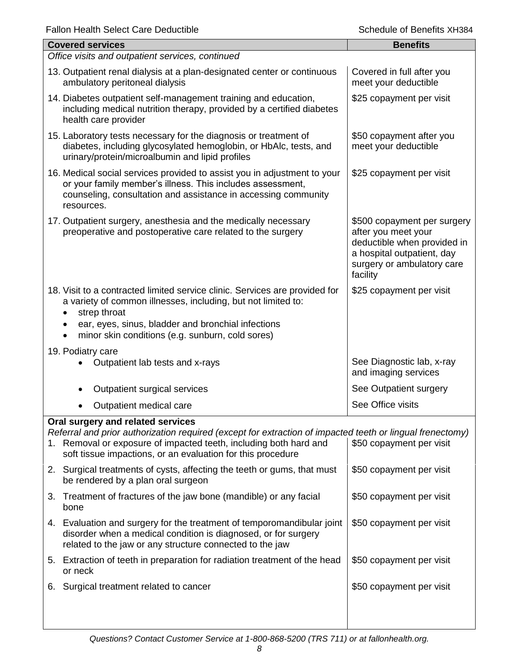|    | <b>Fallon Health Select Care Deductible</b>                                                                                                                                                                                                                            | Schedule of Benefits XH384                                                                                                                                |  |  |
|----|------------------------------------------------------------------------------------------------------------------------------------------------------------------------------------------------------------------------------------------------------------------------|-----------------------------------------------------------------------------------------------------------------------------------------------------------|--|--|
|    | <b>Covered services</b>                                                                                                                                                                                                                                                | <b>Benefits</b>                                                                                                                                           |  |  |
|    | Office visits and outpatient services, continued                                                                                                                                                                                                                       |                                                                                                                                                           |  |  |
|    | 13. Outpatient renal dialysis at a plan-designated center or continuous<br>ambulatory peritoneal dialysis                                                                                                                                                              | Covered in full after you<br>meet your deductible                                                                                                         |  |  |
|    | 14. Diabetes outpatient self-management training and education,<br>including medical nutrition therapy, provided by a certified diabetes<br>health care provider                                                                                                       | \$25 copayment per visit                                                                                                                                  |  |  |
|    | 15. Laboratory tests necessary for the diagnosis or treatment of<br>diabetes, including glycosylated hemoglobin, or HbAlc, tests, and<br>urinary/protein/microalbumin and lipid profiles                                                                               | \$50 copayment after you<br>meet your deductible                                                                                                          |  |  |
|    | 16. Medical social services provided to assist you in adjustment to your<br>or your family member's illness. This includes assessment,<br>counseling, consultation and assistance in accessing community<br>resources.                                                 | \$25 copayment per visit                                                                                                                                  |  |  |
|    | 17. Outpatient surgery, anesthesia and the medically necessary<br>preoperative and postoperative care related to the surgery                                                                                                                                           | \$500 copayment per surgery<br>after you meet your<br>deductible when provided in<br>a hospital outpatient, day<br>surgery or ambulatory care<br>facility |  |  |
|    | 18. Visit to a contracted limited service clinic. Services are provided for<br>a variety of common illnesses, including, but not limited to:<br>strep throat<br>ear, eyes, sinus, bladder and bronchial infections<br>minor skin conditions (e.g. sunburn, cold sores) | \$25 copayment per visit                                                                                                                                  |  |  |
|    |                                                                                                                                                                                                                                                                        |                                                                                                                                                           |  |  |
|    | 19. Podiatry care<br>Outpatient lab tests and x-rays                                                                                                                                                                                                                   | See Diagnostic lab, x-ray<br>and imaging services                                                                                                         |  |  |
|    | Outpatient surgical services                                                                                                                                                                                                                                           | See Outpatient surgery                                                                                                                                    |  |  |
|    | Outpatient medical care                                                                                                                                                                                                                                                | See Office visits                                                                                                                                         |  |  |
|    | Oral surgery and related services                                                                                                                                                                                                                                      |                                                                                                                                                           |  |  |
|    | Referral and prior authorization required (except for extraction of impacted teeth or lingual frenectomy)<br>1. Removal or exposure of impacted teeth, including both hard and<br>soft tissue impactions, or an evaluation for this procedure                          | \$50 copayment per visit                                                                                                                                  |  |  |
|    | 2. Surgical treatments of cysts, affecting the teeth or gums, that must<br>be rendered by a plan oral surgeon                                                                                                                                                          | \$50 copayment per visit                                                                                                                                  |  |  |
| 3. | Treatment of fractures of the jaw bone (mandible) or any facial<br>bone                                                                                                                                                                                                | \$50 copayment per visit                                                                                                                                  |  |  |
|    | 4. Evaluation and surgery for the treatment of temporomandibular joint<br>disorder when a medical condition is diagnosed, or for surgery<br>related to the jaw or any structure connected to the jaw                                                                   | \$50 copayment per visit                                                                                                                                  |  |  |
|    | 5. Extraction of teeth in preparation for radiation treatment of the head<br>or neck                                                                                                                                                                                   | \$50 copayment per visit                                                                                                                                  |  |  |
| 6. | Surgical treatment related to cancer                                                                                                                                                                                                                                   | \$50 copayment per visit                                                                                                                                  |  |  |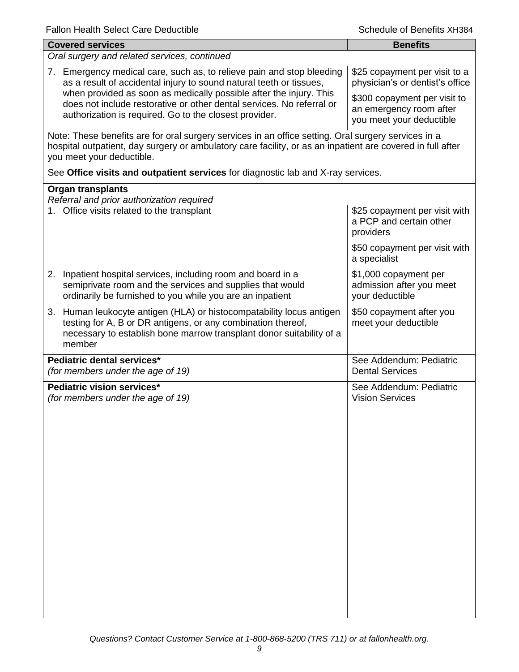| <b>Covered services</b>                                                                                                                                                                                                                        | <b>Benefits</b>                                                                     |  |  |
|------------------------------------------------------------------------------------------------------------------------------------------------------------------------------------------------------------------------------------------------|-------------------------------------------------------------------------------------|--|--|
| Oral surgery and related services, continued                                                                                                                                                                                                   |                                                                                     |  |  |
| 7. Emergency medical care, such as, to relieve pain and stop bleeding<br>as a result of accidental injury to sound natural teeth or tissues,<br>when provided as soon as medically possible after the injury. This                             | \$25 copayment per visit to a<br>physician's or dentist's office                    |  |  |
| does not include restorative or other dental services. No referral or<br>authorization is required. Go to the closest provider.                                                                                                                | \$300 copayment per visit to<br>an emergency room after<br>you meet your deductible |  |  |
| Note: These benefits are for oral surgery services in an office setting. Oral surgery services in a<br>hospital outpatient, day surgery or ambulatory care facility, or as an inpatient are covered in full after<br>you meet your deductible. |                                                                                     |  |  |
| See Office visits and outpatient services for diagnostic lab and X-ray services.                                                                                                                                                               |                                                                                     |  |  |
| <b>Organ transplants</b>                                                                                                                                                                                                                       |                                                                                     |  |  |
| Referral and prior authorization required<br>1. Office visits related to the transplant                                                                                                                                                        | \$25 copayment per visit with<br>a PCP and certain other<br>providers               |  |  |
|                                                                                                                                                                                                                                                | \$50 copayment per visit with<br>a specialist                                       |  |  |
| 2. Inpatient hospital services, including room and board in a<br>semiprivate room and the services and supplies that would<br>ordinarily be furnished to you while you are an inpatient                                                        | \$1,000 copayment per<br>admission after you meet<br>your deductible                |  |  |
| 3. Human leukocyte antigen (HLA) or histocompatability locus antigen<br>testing for A, B or DR antigens, or any combination thereof,<br>necessary to establish bone marrow transplant donor suitability of a<br>member                         | \$50 copayment after you<br>meet your deductible                                    |  |  |
| Pediatric dental services*<br>(for members under the age of 19)                                                                                                                                                                                | See Addendum: Pediatric<br><b>Dental Services</b>                                   |  |  |
| Pediatric vision services*<br>(for members under the age of 19)                                                                                                                                                                                | See Addendum: Pediatric<br><b>Vision Services</b>                                   |  |  |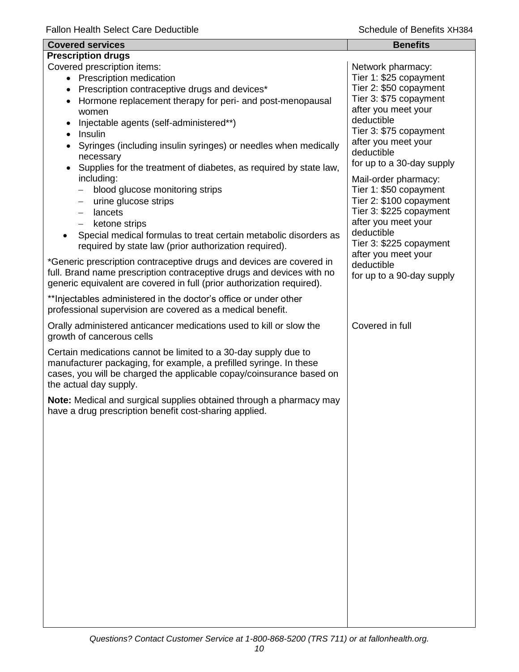| <b>Covered services</b>                                                                                                                                                                                                                                                                                                                                                                                                                                                                                                                                                | <b>Benefits</b>                                                                                                                                                                                                                                                                                                                                                 |  |  |
|------------------------------------------------------------------------------------------------------------------------------------------------------------------------------------------------------------------------------------------------------------------------------------------------------------------------------------------------------------------------------------------------------------------------------------------------------------------------------------------------------------------------------------------------------------------------|-----------------------------------------------------------------------------------------------------------------------------------------------------------------------------------------------------------------------------------------------------------------------------------------------------------------------------------------------------------------|--|--|
| <b>Prescription drugs</b>                                                                                                                                                                                                                                                                                                                                                                                                                                                                                                                                              |                                                                                                                                                                                                                                                                                                                                                                 |  |  |
| Covered prescription items:<br>• Prescription medication<br>• Prescription contraceptive drugs and devices*<br>Hormone replacement therapy for peri- and post-menopausal<br>women<br>Injectable agents (self-administered**)<br>Insulin<br>$\bullet$<br>Syringes (including insulin syringes) or needles when medically<br>necessary<br>Supplies for the treatment of diabetes, as required by state law,<br>including:<br>blood glucose monitoring strips<br>urine glucose strips<br>$\qquad \qquad -$<br>lancets<br>$\overline{\phantom{m}}$<br>ketone strips<br>$-$ | Network pharmacy:<br>Tier 1: \$25 copayment<br>Tier 2: \$50 copayment<br>Tier 3: \$75 copayment<br>after you meet your<br>deductible<br>Tier 3: \$75 copayment<br>after you meet your<br>deductible<br>for up to a 30-day supply<br>Mail-order pharmacy:<br>Tier 1: \$50 copayment<br>Tier 2: \$100 copayment<br>Tier 3: \$225 copayment<br>after you meet your |  |  |
| Special medical formulas to treat certain metabolic disorders as<br>required by state law (prior authorization required).                                                                                                                                                                                                                                                                                                                                                                                                                                              | deductible<br>Tier 3: \$225 copayment                                                                                                                                                                                                                                                                                                                           |  |  |
| *Generic prescription contraceptive drugs and devices are covered in<br>full. Brand name prescription contraceptive drugs and devices with no<br>generic equivalent are covered in full (prior authorization required).                                                                                                                                                                                                                                                                                                                                                | after you meet your<br>deductible<br>for up to a 90-day supply                                                                                                                                                                                                                                                                                                  |  |  |
| ** Injectables administered in the doctor's office or under other<br>professional supervision are covered as a medical benefit.                                                                                                                                                                                                                                                                                                                                                                                                                                        |                                                                                                                                                                                                                                                                                                                                                                 |  |  |
| Orally administered anticancer medications used to kill or slow the<br>growth of cancerous cells                                                                                                                                                                                                                                                                                                                                                                                                                                                                       | Covered in full                                                                                                                                                                                                                                                                                                                                                 |  |  |
| Certain medications cannot be limited to a 30-day supply due to<br>manufacturer packaging, for example, a prefilled syringe. In these<br>cases, you will be charged the applicable copay/coinsurance based on<br>the actual day supply.                                                                                                                                                                                                                                                                                                                                |                                                                                                                                                                                                                                                                                                                                                                 |  |  |
| Note: Medical and surgical supplies obtained through a pharmacy may<br>have a drug prescription benefit cost-sharing applied.                                                                                                                                                                                                                                                                                                                                                                                                                                          |                                                                                                                                                                                                                                                                                                                                                                 |  |  |
|                                                                                                                                                                                                                                                                                                                                                                                                                                                                                                                                                                        |                                                                                                                                                                                                                                                                                                                                                                 |  |  |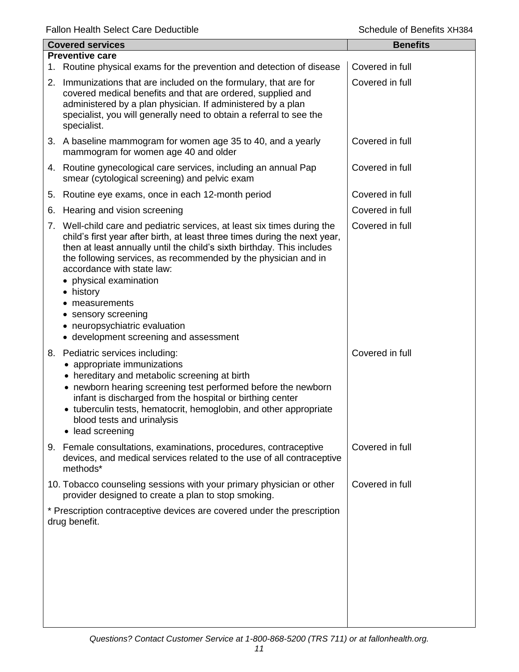| <b>Covered services</b> |                                                                                                                                                                                                                                                                                                                                                                                                                                                                                           | <b>Benefits</b> |
|-------------------------|-------------------------------------------------------------------------------------------------------------------------------------------------------------------------------------------------------------------------------------------------------------------------------------------------------------------------------------------------------------------------------------------------------------------------------------------------------------------------------------------|-----------------|
|                         | <b>Preventive care</b>                                                                                                                                                                                                                                                                                                                                                                                                                                                                    | Covered in full |
|                         | 1. Routine physical exams for the prevention and detection of disease                                                                                                                                                                                                                                                                                                                                                                                                                     |                 |
|                         | 2. Immunizations that are included on the formulary, that are for<br>covered medical benefits and that are ordered, supplied and<br>administered by a plan physician. If administered by a plan<br>specialist, you will generally need to obtain a referral to see the<br>specialist.                                                                                                                                                                                                     | Covered in full |
|                         | 3. A baseline mammogram for women age 35 to 40, and a yearly<br>mammogram for women age 40 and older                                                                                                                                                                                                                                                                                                                                                                                      | Covered in full |
|                         | 4. Routine gynecological care services, including an annual Pap<br>smear (cytological screening) and pelvic exam                                                                                                                                                                                                                                                                                                                                                                          | Covered in full |
| 5.                      | Routine eye exams, once in each 12-month period                                                                                                                                                                                                                                                                                                                                                                                                                                           | Covered in full |
| 6.                      | Hearing and vision screening                                                                                                                                                                                                                                                                                                                                                                                                                                                              | Covered in full |
|                         | 7. Well-child care and pediatric services, at least six times during the<br>child's first year after birth, at least three times during the next year,<br>then at least annually until the child's sixth birthday. This includes<br>the following services, as recommended by the physician and in<br>accordance with state law:<br>• physical examination<br>• history<br>measurements<br>• sensory screening<br>• neuropsychiatric evaluation<br>• development screening and assessment | Covered in full |
|                         | 8. Pediatric services including:<br>appropriate immunizations<br>• hereditary and metabolic screening at birth<br>• newborn hearing screening test performed before the newborn<br>infant is discharged from the hospital or birthing center<br>• tuberculin tests, hematocrit, hemoglobin, and other appropriate<br>blood tests and urinalysis<br>lead screening<br>$\bullet$                                                                                                            | Covered in full |
| 9.                      | Female consultations, examinations, procedures, contraceptive<br>devices, and medical services related to the use of all contraceptive<br>methods*                                                                                                                                                                                                                                                                                                                                        | Covered in full |
|                         | 10. Tobacco counseling sessions with your primary physician or other<br>provider designed to create a plan to stop smoking.                                                                                                                                                                                                                                                                                                                                                               | Covered in full |
|                         | * Prescription contraceptive devices are covered under the prescription<br>drug benefit.                                                                                                                                                                                                                                                                                                                                                                                                  |                 |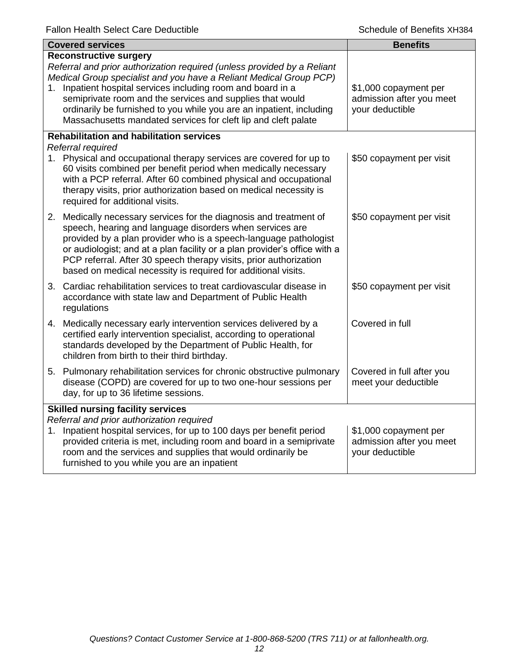| <b>Covered services</b>                                                                                                                                                                                                                                                                                                                                                                                                                               | <b>Benefits</b>                                                      |
|-------------------------------------------------------------------------------------------------------------------------------------------------------------------------------------------------------------------------------------------------------------------------------------------------------------------------------------------------------------------------------------------------------------------------------------------------------|----------------------------------------------------------------------|
| <b>Reconstructive surgery</b><br>Referral and prior authorization required (unless provided by a Reliant<br>Medical Group specialist and you have a Reliant Medical Group PCP)<br>1. Inpatient hospital services including room and board in a<br>semiprivate room and the services and supplies that would<br>ordinarily be furnished to you while you are an inpatient, including<br>Massachusetts mandated services for cleft lip and cleft palate | \$1,000 copayment per<br>admission after you meet<br>your deductible |
| <b>Rehabilitation and habilitation services</b><br>Referral required                                                                                                                                                                                                                                                                                                                                                                                  |                                                                      |
| 1. Physical and occupational therapy services are covered for up to<br>60 visits combined per benefit period when medically necessary<br>with a PCP referral. After 60 combined physical and occupational<br>therapy visits, prior authorization based on medical necessity is<br>required for additional visits.                                                                                                                                     | \$50 copayment per visit                                             |
| 2. Medically necessary services for the diagnosis and treatment of<br>speech, hearing and language disorders when services are<br>provided by a plan provider who is a speech-language pathologist<br>or audiologist; and at a plan facility or a plan provider's office with a<br>PCP referral. After 30 speech therapy visits, prior authorization<br>based on medical necessity is required for additional visits.                                 | \$50 copayment per visit                                             |
| 3. Cardiac rehabilitation services to treat cardiovascular disease in<br>accordance with state law and Department of Public Health<br>regulations                                                                                                                                                                                                                                                                                                     | \$50 copayment per visit                                             |
| 4. Medically necessary early intervention services delivered by a<br>certified early intervention specialist, according to operational<br>standards developed by the Department of Public Health, for<br>children from birth to their third birthday.                                                                                                                                                                                                 | Covered in full                                                      |
| 5. Pulmonary rehabilitation services for chronic obstructive pulmonary<br>disease (COPD) are covered for up to two one-hour sessions per<br>day, for up to 36 lifetime sessions.                                                                                                                                                                                                                                                                      | Covered in full after you<br>meet your deductible                    |
| <b>Skilled nursing facility services</b><br>Referral and prior authorization required<br>1. Inpatient hospital services, for up to 100 days per benefit period<br>provided criteria is met, including room and board in a semiprivate<br>room and the services and supplies that would ordinarily be<br>furnished to you while you are an inpatient                                                                                                   | \$1,000 copayment per<br>admission after you meet<br>your deductible |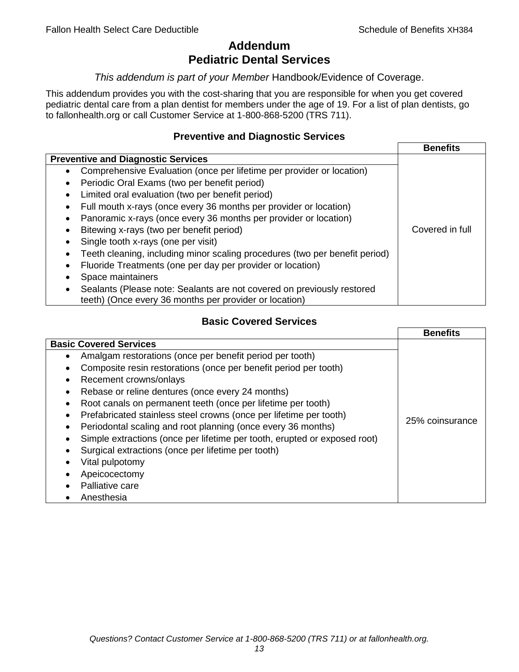# **Addendum Pediatric Dental Services**

## *This addendum is part of your Member* Handbook/Evidence of Coverage.

This addendum provides you with the cost-sharing that you are responsible for when you get covered pediatric dental care from a plan dentist for members under the age of 19. For a list of plan dentists, go to fallonhealth.org or call Customer Service at 1-800-868-5200 (TRS 711).

## **Preventive and Diagnostic Services**

|                                                                                    | <b>Benefits</b> |
|------------------------------------------------------------------------------------|-----------------|
| <b>Preventive and Diagnostic Services</b>                                          |                 |
| Comprehensive Evaluation (once per lifetime per provider or location)<br>$\bullet$ |                 |
| Periodic Oral Exams (two per benefit period)<br>$\bullet$                          |                 |
| Limited oral evaluation (two per benefit period)<br>$\bullet$                      |                 |
| Full mouth x-rays (once every 36 months per provider or location)<br>٠             |                 |
| Panoramic x-rays (once every 36 months per provider or location)                   |                 |
| Bitewing x-rays (two per benefit period)<br>٠                                      | Covered in full |
| Single tooth x-rays (one per visit)                                                |                 |
| Teeth cleaning, including minor scaling procedures (two per benefit period)        |                 |
| Fluoride Treatments (one per day per provider or location)<br>٠                    |                 |
| Space maintainers                                                                  |                 |
| Sealants (Please note: Sealants are not covered on previously restored             |                 |
| teeth) (Once every 36 months per provider or location)                             |                 |

# **Basic Covered Services**

|                                                                                                                                                                                                                                                                                                                                                                                           | <b>Benefits</b> |
|-------------------------------------------------------------------------------------------------------------------------------------------------------------------------------------------------------------------------------------------------------------------------------------------------------------------------------------------------------------------------------------------|-----------------|
| <b>Basic Covered Services</b><br>Amalgam restorations (once per benefit period per tooth)<br>Composite resin restorations (once per benefit period per tooth)<br>Recement crowns/onlays                                                                                                                                                                                                   |                 |
| Rebase or reline dentures (once every 24 months)<br>Root canals on permanent teeth (once per lifetime per tooth)<br>Prefabricated stainless steel crowns (once per lifetime per tooth)<br>Periodontal scaling and root planning (once every 36 months)<br>Simple extractions (once per lifetime per tooth, erupted or exposed root)<br>Surgical extractions (once per lifetime per tooth) | 25% coinsurance |
| Vital pulpotomy<br>Apeicocectomy<br>Palliative care<br>Anesthesia                                                                                                                                                                                                                                                                                                                         |                 |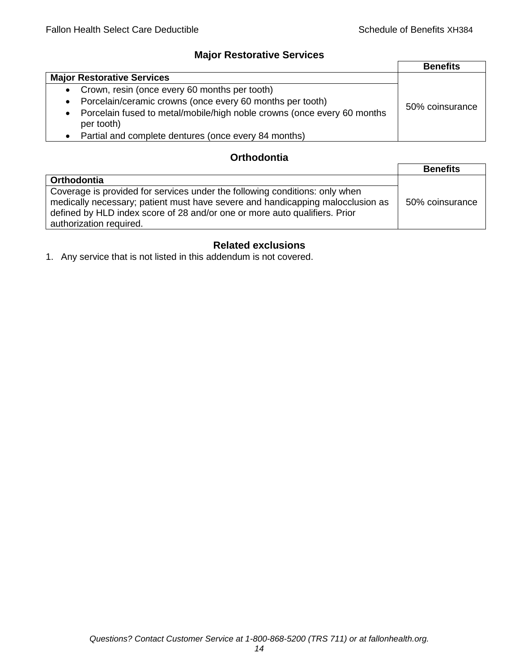## **Major Restorative Services**

|                                                                                                    | <b>Benefits</b> |
|----------------------------------------------------------------------------------------------------|-----------------|
| <b>Major Restorative Services</b>                                                                  |                 |
| • Crown, resin (once every 60 months per tooth)                                                    |                 |
| Porcelain/ceramic crowns (once every 60 months per tooth)<br>$\bullet$                             | 50% coinsurance |
| Porcelain fused to metal/mobile/high noble crowns (once every 60 months<br>$\bullet$<br>per tooth) |                 |
| Partial and complete dentures (once every 84 months)<br>$\bullet$                                  |                 |

# **Orthodontia**

|                                                                                                                                                                                                                                                                        | <b>Benefits</b> |
|------------------------------------------------------------------------------------------------------------------------------------------------------------------------------------------------------------------------------------------------------------------------|-----------------|
| Orthodontia                                                                                                                                                                                                                                                            |                 |
| Coverage is provided for services under the following conditions: only when<br>medically necessary; patient must have severe and handicapping malocclusion as<br>defined by HLD index score of 28 and/or one or more auto qualifiers. Prior<br>authorization required. | 50% coinsurance |

# **Related exclusions**

1. Any service that is not listed in this addendum is not covered.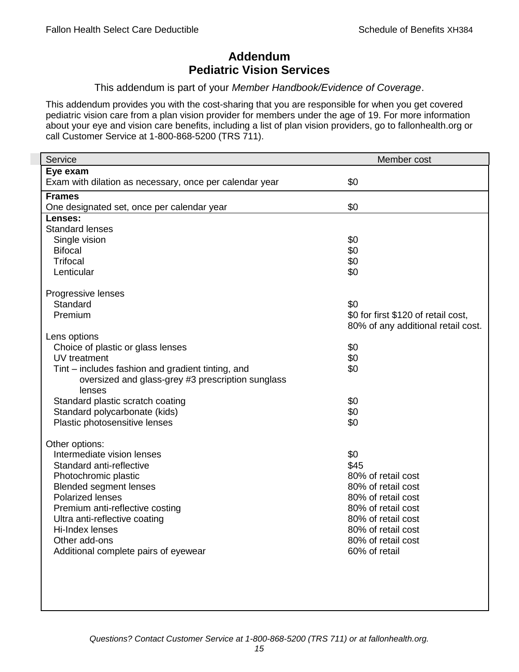# **Addendum Pediatric Vision Services**

## This addendum is part of your *Member Handbook/Evidence of Coverage*.

This addendum provides you with the cost-sharing that you are responsible for when you get covered pediatric vision care from a plan vision provider for members under the age of 19. For more information about your eye and vision care benefits, including a list of plan vision providers, go to fallonhealth.org or call Customer Service at 1-800-868-5200 (TRS 711).

| Service                                                 | Member cost                         |
|---------------------------------------------------------|-------------------------------------|
| Eye exam                                                |                                     |
| Exam with dilation as necessary, once per calendar year | \$0                                 |
| <b>Frames</b>                                           |                                     |
| One designated set, once per calendar year              | \$0                                 |
| Lenses:                                                 |                                     |
| <b>Standard lenses</b>                                  |                                     |
| Single vision                                           | \$0                                 |
| <b>Bifocal</b>                                          | \$0                                 |
| <b>Trifocal</b>                                         | \$0                                 |
| Lenticular                                              | \$0                                 |
| Progressive lenses                                      |                                     |
| Standard                                                | \$0                                 |
| Premium                                                 | \$0 for first \$120 of retail cost, |
|                                                         | 80% of any additional retail cost.  |
| Lens options                                            |                                     |
| Choice of plastic or glass lenses                       | \$0                                 |
| UV treatment                                            | \$0                                 |
| Tint – includes fashion and gradient tinting, and       | \$0                                 |
| oversized and glass-grey #3 prescription sunglass       |                                     |
| lenses                                                  |                                     |
| Standard plastic scratch coating                        | \$0                                 |
| Standard polycarbonate (kids)                           | \$0                                 |
| Plastic photosensitive lenses                           | \$0                                 |
| Other options:                                          |                                     |
| Intermediate vision lenses                              | \$0                                 |
| Standard anti-reflective                                | \$45                                |
| Photochromic plastic                                    | 80% of retail cost                  |
| <b>Blended segment lenses</b>                           | 80% of retail cost                  |
| <b>Polarized lenses</b>                                 | 80% of retail cost                  |
| Premium anti-reflective costing                         | 80% of retail cost                  |
| Ultra anti-reflective coating                           | 80% of retail cost                  |
| Hi-Index lenses                                         | 80% of retail cost                  |
| Other add-ons                                           | 80% of retail cost                  |
| Additional complete pairs of eyewear                    | 60% of retail                       |
|                                                         |                                     |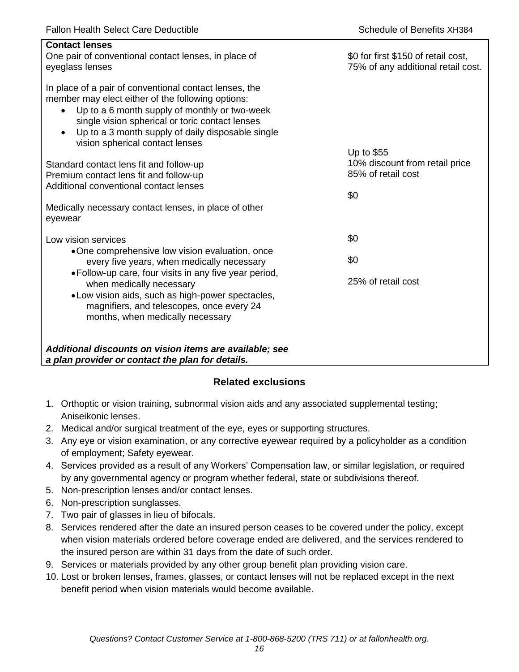| <b>Contact lenses</b><br>One pair of conventional contact lenses, in place of<br>eyeglass lenses                                                                                                                                                                                                                                  | \$0 for first \$150 of retail cost,<br>75% of any additional retail cost. |
|-----------------------------------------------------------------------------------------------------------------------------------------------------------------------------------------------------------------------------------------------------------------------------------------------------------------------------------|---------------------------------------------------------------------------|
| In place of a pair of conventional contact lenses, the<br>member may elect either of the following options:<br>Up to a 6 month supply of monthly or two-week<br>$\bullet$<br>single vision spherical or toric contact lenses<br>Up to a 3 month supply of daily disposable single<br>$\bullet$<br>vision spherical contact lenses |                                                                           |
| Standard contact lens fit and follow-up<br>Premium contact lens fit and follow-up<br>Additional conventional contact lenses                                                                                                                                                                                                       | Up to \$55<br>10% discount from retail price<br>85% of retail cost<br>\$0 |
| Medically necessary contact lenses, in place of other<br>eyewear                                                                                                                                                                                                                                                                  |                                                                           |
| Low vision services                                                                                                                                                                                                                                                                                                               | \$0                                                                       |
| •One comprehensive low vision evaluation, once<br>every five years, when medically necessary                                                                                                                                                                                                                                      | \$0                                                                       |
| • Follow-up care, four visits in any five year period,<br>when medically necessary<br>• Low vision aids, such as high-power spectacles,<br>magnifiers, and telescopes, once every 24<br>months, when medically necessary                                                                                                          | 25% of retail cost                                                        |
| Additional discounts on vision items are available; see<br>a plan provider or contact the plan for details.                                                                                                                                                                                                                       |                                                                           |

# **Related exclusions**

- 1. Orthoptic or vision training, subnormal vision aids and any associated supplemental testing; Aniseikonic lenses.
- 2. Medical and/or surgical treatment of the eye, eyes or supporting structures.
- 3. Any eye or vision examination, or any corrective eyewear required by a policyholder as a condition of employment; Safety eyewear.
- 4. Services provided as a result of any Workers' Compensation law, or similar legislation, or required by any governmental agency or program whether federal, state or subdivisions thereof.
- 5. Non-prescription lenses and/or contact lenses.
- 6. Non-prescription sunglasses.
- 7. Two pair of glasses in lieu of bifocals.
- 8. Services rendered after the date an insured person ceases to be covered under the policy, except when vision materials ordered before coverage ended are delivered, and the services rendered to the insured person are within 31 days from the date of such order.
- 9. Services or materials provided by any other group benefit plan providing vision care.
- 10. Lost or broken lenses, frames, glasses, or contact lenses will not be replaced except in the next benefit period when vision materials would become available.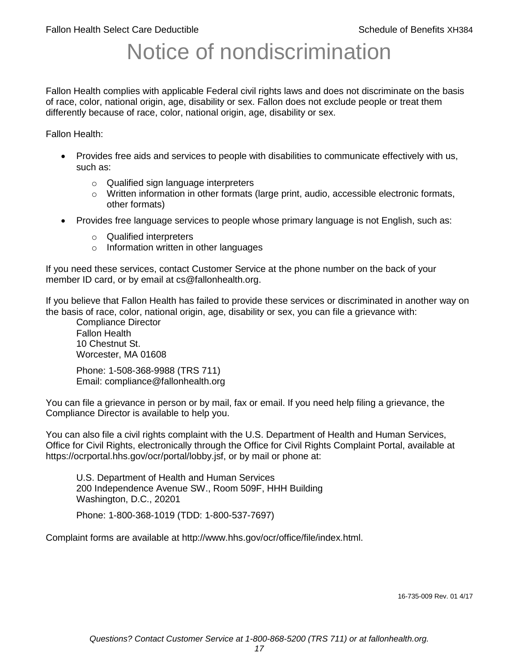# Notice of nondiscrimination

Fallon Health complies with applicable Federal civil rights laws and does not discriminate on the basis of race, color, national origin, age, disability or sex. Fallon does not exclude people or treat them differently because of race, color, national origin, age, disability or sex.

Fallon Health:

- Provides free aids and services to people with disabilities to communicate effectively with us, such as:
	- o Qualified sign language interpreters
	- $\circ$  Written information in other formats (large print, audio, accessible electronic formats, other formats)
- Provides free language services to people whose primary language is not English, such as:
	- o Qualified interpreters
	- o Information written in other languages

If you need these services, contact Customer Service at the phone number on the back of your member ID card, or by email at cs@fallonhealth.org.

If you believe that Fallon Health has failed to provide these services or discriminated in another way on the basis of race, color, national origin, age, disability or sex, you can file a grievance with:

Compliance Director Fallon Health 10 Chestnut St. Worcester, MA 01608

Phone: 1-508-368-9988 (TRS 711) Email: compliance@fallonhealth.org

You can file a grievance in person or by mail, fax or email. If you need help filing a grievance, the Compliance Director is available to help you.

You can also file a civil rights complaint with the U.S. Department of Health and Human Services, Office for Civil Rights, electronically through the Office for Civil Rights Complaint Portal, available at https://ocrportal.hhs.gov/ocr/portal/lobby.jsf, or by mail or phone at:

U.S. Department of Health and Human Services 200 Independence Avenue SW., Room 509F, HHH Building Washington, D.C., 20201

Phone: 1-800-368-1019 (TDD: 1-800-537-7697)

Complaint forms are available at http://www.hhs.gov/ocr/office/file/index.html.

16-735-009 Rev. 01 4/17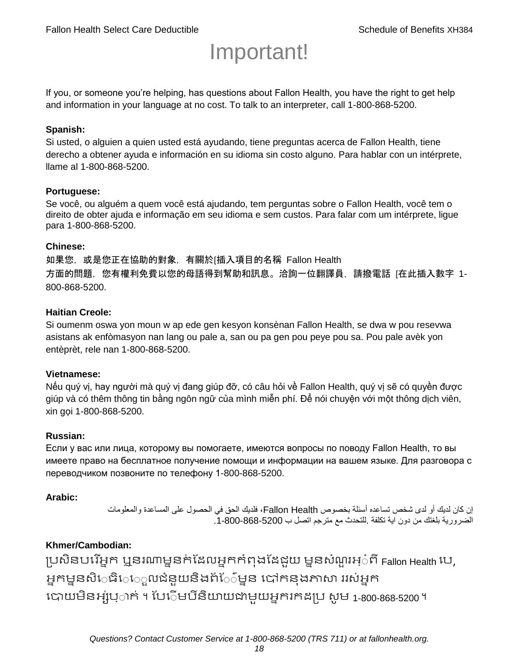# Important!

If you, or someone you're helping, has questions about Fallon Health, you have the right to get help and information in your language at no cost. To talk to an interpreter, call 1-800-868-5200.

#### **Spanish:**

Si usted, o alguien a quien usted está ayudando, tiene preguntas acerca de Fallon Health, tiene derecho a obtener ayuda e información en su idioma sin costo alguno. Para hablar con un intérprete, llame al 1-800-868-5200.

#### **Portuguese:**

Se você, ou alguém a quem você está ajudando, tem perguntas sobre o Fallon Health, você tem o direito de obter ajuda e informação em seu idioma e sem custos. Para falar com um intérprete, ligue para 1-800-868-5200.

#### **Chinese:**

如果您,或是您正在協助的對象,有關於[插入項目的名稱 Fallon Health 方面的問題, 您有權利免費以您的母語得到幫助和訊息。洽詢一位翻譯員, 請撥電話 [在此插入數字 1-800-868-5200.

#### **Haitian Creole:**

Si oumenm oswa yon moun w ap ede gen kesyon konsènan Fallon Health, se dwa w pou resevwa asistans ak enfòmasyon nan lang ou pale a, san ou pa gen pou peye pou sa. Pou pale avèk yon entèprèt, rele nan 1-800-868-5200.

#### **Vietnamese:**

Nếu quý vị, hay người mà quý vị đang giúp đỡ, có câu hỏi về Fallon Health, quý vị sẽ có quyền được giúp và có thêm thông tin bằng ngôn ngữ của mình miễn phí. Để nói chuyện với một thông dịch viên, xin gọi 1-800-868-5200.

#### **Russian:**

Если у вас или лица, которому вы помогаете, имеются вопросы по поводу Fallon Health, то вы имеете право на бесплатное получение помощи и информации на вашем языке. Для разговора с переводчиком позвоните по телефону 1-800-868-5200.

#### **Arabic:**

إن كان لديك أو لدى شخص تساعده أسئلة بخصوص Health Fallon، فلديك الحق في الحصول على المساعدة والمعلومات الضرورية بلغتك من دون اية تكلفة .للتحدث مع مترجم اتصل ب .1-800-868-5200

## **Khmer/Cambodian:**

ប្រសិនបរើអ្នក ឬនរណាម្ននក់ដែលអ្នកកំពុងដែជយ ម្ននសំណួរអ្៎ពី Fallon Health រប, អ្នកម្ននសិេធិេ្រុលជំនួយនិងព័ែ៌ម្នន បៅកនុងភាសា ររស់អ្នក រោយម្ិនអ្ស់រ្ំ ក់ ។ ដររំម្ រនី ិយាយជាម្ួយអ្នក កែប្រ សូ ម្ 1-800-868-5200 ។